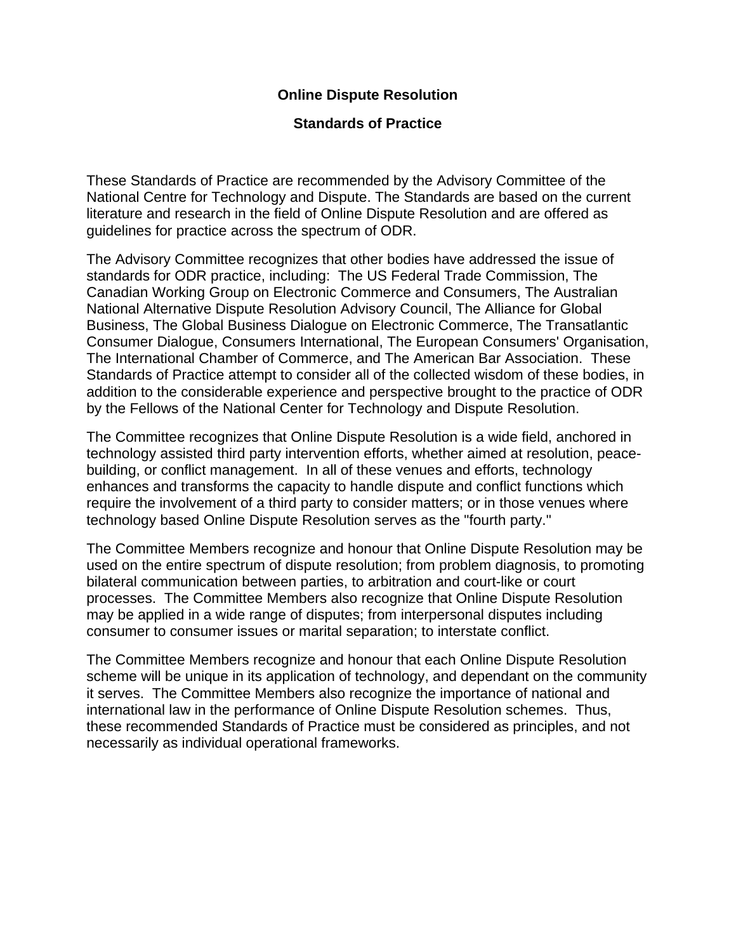# **Online Dispute Resolution**

#### **Standards of Practice**

These Standards of Practice are recommended by the Advisory Committee of the National Centre for Technology and Dispute. The Standards are based on the current literature and research in the field of Online Dispute Resolution and are offered as guidelines for practice across the spectrum of ODR.

The Advisory Committee recognizes that other bodies have addressed the issue of standards for ODR practice, including: The US Federal Trade Commission, The Canadian Working Group on Electronic Commerce and Consumers, The Australian National Alternative Dispute Resolution Advisory Council, The Alliance for Global Business, The Global Business Dialogue on Electronic Commerce, The Transatlantic Consumer Dialogue, Consumers International, The European Consumers' Organisation, The International Chamber of Commerce, and The American Bar Association. These Standards of Practice attempt to consider all of the collected wisdom of these bodies, in addition to the considerable experience and perspective brought to the practice of ODR by the Fellows of the National Center for Technology and Dispute Resolution.

The Committee recognizes that Online Dispute Resolution is a wide field, anchored in technology assisted third party intervention efforts, whether aimed at resolution, peacebuilding, or conflict management. In all of these venues and efforts, technology enhances and transforms the capacity to handle dispute and conflict functions which require the involvement of a third party to consider matters; or in those venues where technology based Online Dispute Resolution serves as the "fourth party."

The Committee Members recognize and honour that Online Dispute Resolution may be used on the entire spectrum of dispute resolution; from problem diagnosis, to promoting bilateral communication between parties, to arbitration and court-like or court processes. The Committee Members also recognize that Online Dispute Resolution may be applied in a wide range of disputes; from interpersonal disputes including consumer to consumer issues or marital separation; to interstate conflict.

The Committee Members recognize and honour that each Online Dispute Resolution scheme will be unique in its application of technology, and dependant on the community it serves. The Committee Members also recognize the importance of national and international law in the performance of Online Dispute Resolution schemes. Thus, these recommended Standards of Practice must be considered as principles, and not necessarily as individual operational frameworks.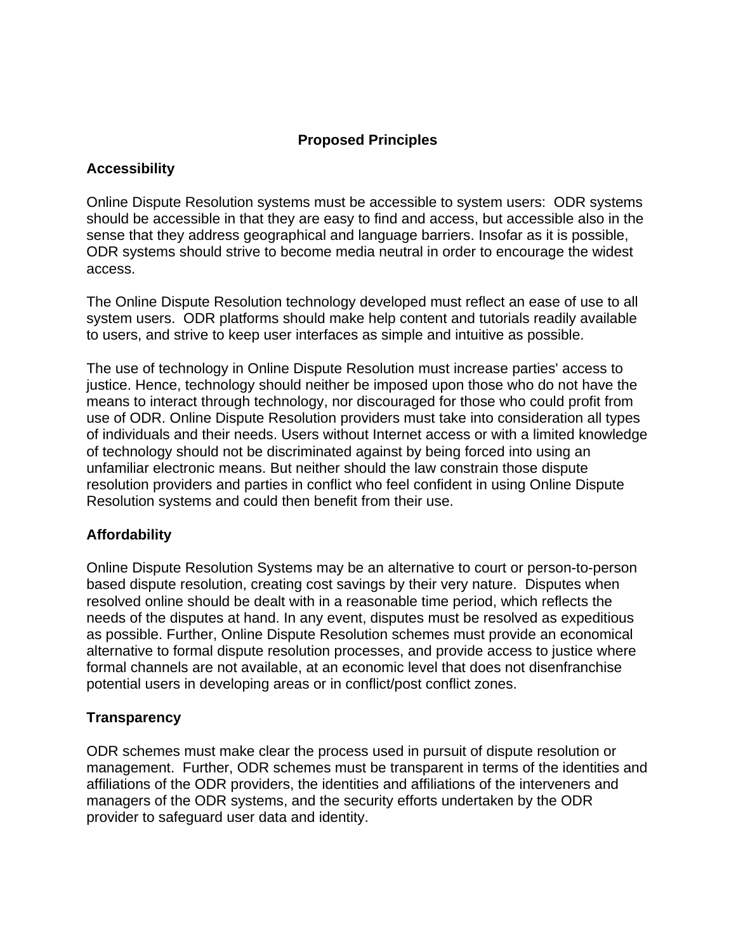# **Proposed Principles**

# **Accessibility**

Online Dispute Resolution systems must be accessible to system users: ODR systems should be accessible in that they are easy to find and access, but accessible also in the sense that they address geographical and language barriers. Insofar as it is possible, ODR systems should strive to become media neutral in order to encourage the widest access.

The Online Dispute Resolution technology developed must reflect an ease of use to all system users. ODR platforms should make help content and tutorials readily available to users, and strive to keep user interfaces as simple and intuitive as possible.

The use of technology in Online Dispute Resolution must increase parties' access to justice. Hence, technology should neither be imposed upon those who do not have the means to interact through technology, nor discouraged for those who could profit from use of ODR. Online Dispute Resolution providers must take into consideration all types of individuals and their needs. Users without Internet access or with a limited knowledge of technology should not be discriminated against by being forced into using an unfamiliar electronic means. But neither should the law constrain those dispute resolution providers and parties in conflict who feel confident in using Online Dispute Resolution systems and could then benefit from their use.

# **Affordability**

Online Dispute Resolution Systems may be an alternative to court or person-to-person based dispute resolution, creating cost savings by their very nature. Disputes when resolved online should be dealt with in a reasonable time period, which reflects the needs of the disputes at hand. In any event, disputes must be resolved as expeditious as possible. Further, Online Dispute Resolution schemes must provide an economical alternative to formal dispute resolution processes, and provide access to justice where formal channels are not available, at an economic level that does not disenfranchise potential users in developing areas or in conflict/post conflict zones.

# **Transparency**

ODR schemes must make clear the process used in pursuit of dispute resolution or management. Further, ODR schemes must be transparent in terms of the identities and affiliations of the ODR providers, the identities and affiliations of the interveners and managers of the ODR systems, and the security efforts undertaken by the ODR provider to safeguard user data and identity.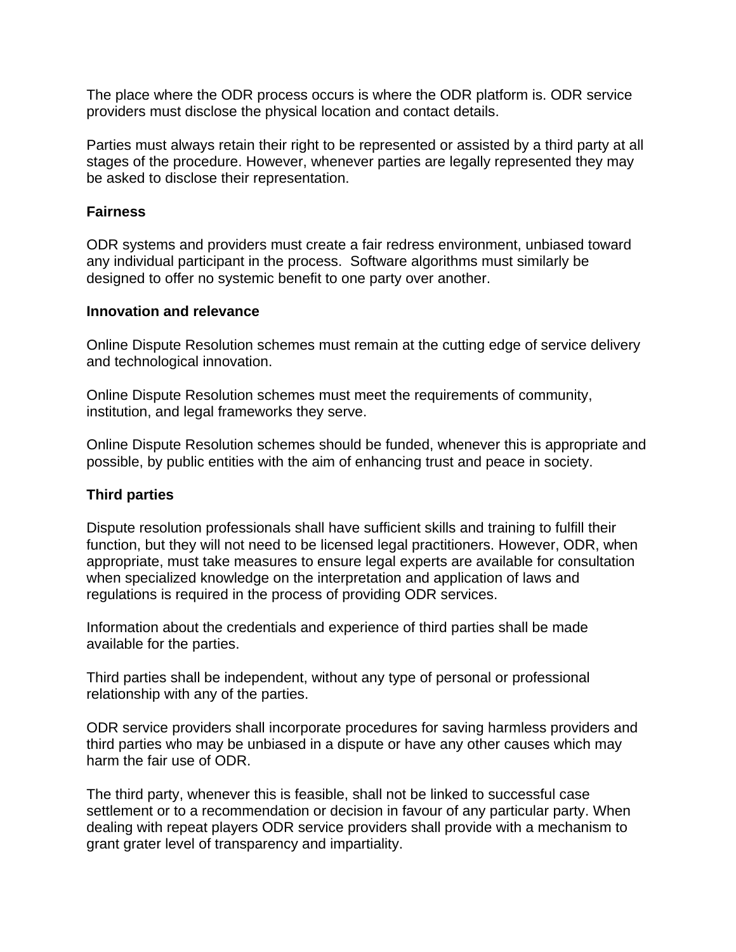The place where the ODR process occurs is where the ODR platform is. ODR service providers must disclose the physical location and contact details.

Parties must always retain their right to be represented or assisted by a third party at all stages of the procedure. However, whenever parties are legally represented they may be asked to disclose their representation.

#### **Fairness**

ODR systems and providers must create a fair redress environment, unbiased toward any individual participant in the process. Software algorithms must similarly be designed to offer no systemic benefit to one party over another.

#### **Innovation and relevance**

Online Dispute Resolution schemes must remain at the cutting edge of service delivery and technological innovation.

Online Dispute Resolution schemes must meet the requirements of community, institution, and legal frameworks they serve.

Online Dispute Resolution schemes should be funded, whenever this is appropriate and possible, by public entities with the aim of enhancing trust and peace in society.

# **Third parties**

Dispute resolution professionals shall have sufficient skills and training to fulfill their function, but they will not need to be licensed legal practitioners. However, ODR, when appropriate, must take measures to ensure legal experts are available for consultation when specialized knowledge on the interpretation and application of laws and regulations is required in the process of providing ODR services.

Information about the credentials and experience of third parties shall be made available for the parties.

Third parties shall be independent, without any type of personal or professional relationship with any of the parties.

ODR service providers shall incorporate procedures for saving harmless providers and third parties who may be unbiased in a dispute or have any other causes which may harm the fair use of ODR.

The third party, whenever this is feasible, shall not be linked to successful case settlement or to a recommendation or decision in favour of any particular party. When dealing with repeat players ODR service providers shall provide with a mechanism to grant grater level of transparency and impartiality.